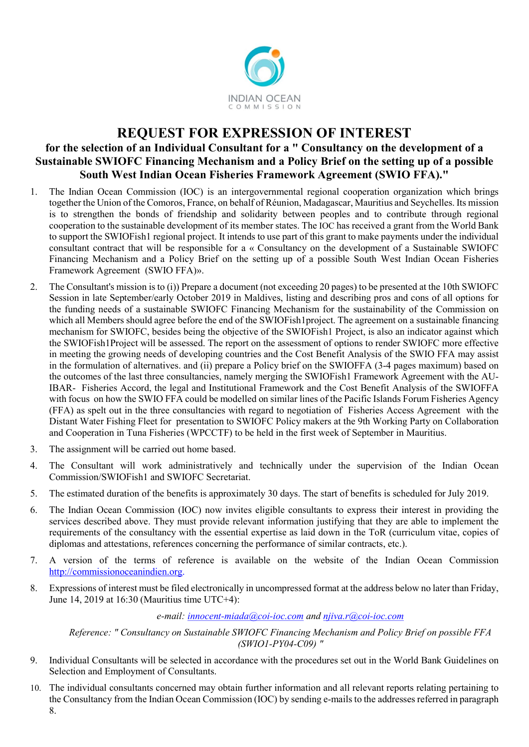

# REQUEST FOR EXPRESSION OF INTEREST

# for the selection of an Individual Consultant for a " Consultancy on the development of a Sustainable SWIOFC Financing Mechanism and a Policy Brief on the setting up of a possible South West Indian Ocean Fisheries Framework Agreement (SWIO FFA)."

- 1. The Indian Ocean Commission (IOC) is an intergovernmental regional cooperation organization which brings together the Union of the Comoros, France, on behalf of Réunion, Madagascar, Mauritius and Seychelles. Its mission is to strengthen the bonds of friendship and solidarity between peoples and to contribute through regional cooperation to the sustainable development of its member states. The IOC has received a grant from the World Bank to support the SWIOFish1 regional project. It intends to use part of this grant to make payments under the individual consultant contract that will be responsible for a « Consultancy on the development of a Sustainable SWIOFC Financing Mechanism and a Policy Brief on the setting up of a possible South West Indian Ocean Fisheries Framework Agreement (SWIO FFA)».
- 2. The Consultant's mission is to (i)) Prepare a document (not exceeding 20 pages) to be presented at the 10th SWIOFC Session in late September/early October 2019 in Maldives, listing and describing pros and cons of all options for the funding needs of a sustainable SWIOFC Financing Mechanism for the sustainability of the Commission on which all Members should agree before the end of the SWIOFish1project. The agreement on a sustainable financing mechanism for SWIOFC, besides being the objective of the SWIOFish1 Project, is also an indicator against which the SWIOFish1Project will be assessed. The report on the assessment of options to render SWIOFC more effective in meeting the growing needs of developing countries and the Cost Benefit Analysis of the SWIO FFA may assist in the formulation of alternatives. and (ii) prepare a Policy brief on the SWIOFFA (3-4 pages maximum) based on the outcomes of the last three consultancies, namely merging the SWIOFish1 Framework Agreement with the AU-IBAR- Fisheries Accord, the legal and Institutional Framework and the Cost Benefit Analysis of the SWIOFFA with focus on how the SWIO FFA could be modelled on similar lines of the Pacific Islands Forum Fisheries Agency (FFA) as spelt out in the three consultancies with regard to negotiation of Fisheries Access Agreement with the Distant Water Fishing Fleet for presentation to SWIOFC Policy makers at the 9th Working Party on Collaboration and Cooperation in Tuna Fisheries (WPCCTF) to be held in the first week of September in Mauritius.
- 3. The assignment will be carried out home based.
- 4. The Consultant will work administratively and technically under the supervision of the Indian Ocean Commission/SWIOFish1 and SWIOFC Secretariat.
- 5. The estimated duration of the benefits is approximately 30 days. The start of benefits is scheduled for July 2019.
- 6. The Indian Ocean Commission (IOC) now invites eligible consultants to express their interest in providing the services described above. They must provide relevant information justifying that they are able to implement the requirements of the consultancy with the essential expertise as laid down in the ToR (curriculum vitae, copies of diplomas and attestations, references concerning the performance of similar contracts, etc.).
- 7. A version of the terms of reference is available on the website of the Indian Ocean Commission http://commissionoceanindien.org.
- 8. Expressions of interest must be filed electronically in uncompressed format at the address below no later than Friday, June 14, 2019 at 16:30 (Mauritius time UTC+4):

## e-mail: innocent-miada@coi-ioc.com and njiva.r@coi-ioc.com

Reference: " Consultancy on Sustainable SWIOFC Financing Mechanism and Policy Brief on possible FFA (SWIO1-PY04-C09) "

- 9. Individual Consultants will be selected in accordance with the procedures set out in the World Bank Guidelines on Selection and Employment of Consultants.
- 10. The individual consultants concerned may obtain further information and all relevant reports relating pertaining to the Consultancy from the Indian Ocean Commission (IOC) by sending e-mails to the addresses referred in paragraph 8.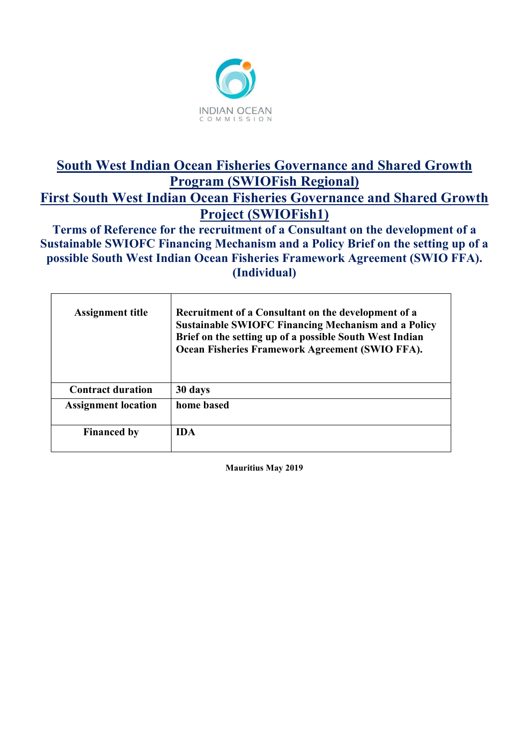

# South West Indian Ocean Fisheries Governance and Shared Growth Program (SWIOFish Regional) First South West Indian Ocean Fisheries Governance and Shared Growth Project (SWIOFish1)

Terms of Reference for the recruitment of a Consultant on the development of a Sustainable SWIOFC Financing Mechanism and a Policy Brief on the setting up of a possible South West Indian Ocean Fisheries Framework Agreement (SWIO FFA). (Individual)

| <b>Assignment title</b>    | Recruitment of a Consultant on the development of a<br><b>Sustainable SWIOFC Financing Mechanism and a Policy</b><br>Brief on the setting up of a possible South West Indian<br>Ocean Fisheries Framework Agreement (SWIO FFA). |
|----------------------------|---------------------------------------------------------------------------------------------------------------------------------------------------------------------------------------------------------------------------------|
| <b>Contract duration</b>   | 30 days                                                                                                                                                                                                                         |
| <b>Assignment location</b> | home based                                                                                                                                                                                                                      |
| <b>Financed by</b>         | <b>IDA</b>                                                                                                                                                                                                                      |

Mauritius May 2019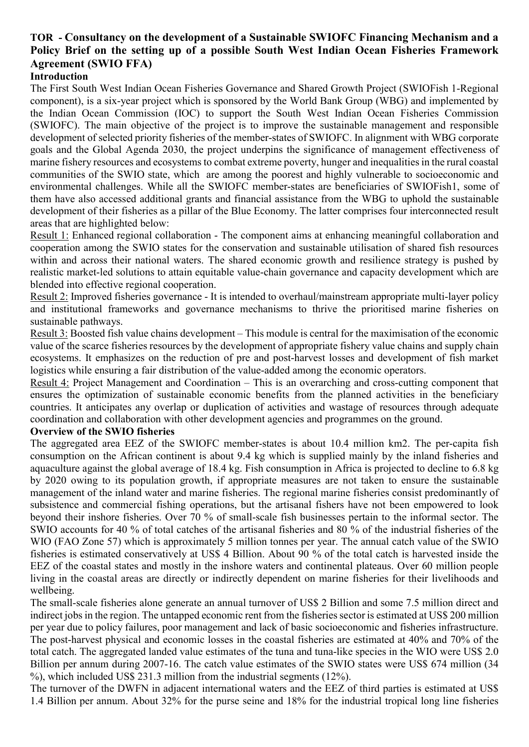# TOR - Consultancy on the development of a Sustainable SWIOFC Financing Mechanism and a Policy Brief on the setting up of a possible South West Indian Ocean Fisheries Framework Agreement (SWIO FFA)

#### Introduction

The First South West Indian Ocean Fisheries Governance and Shared Growth Project (SWIOFish 1-Regional component), is a six-year project which is sponsored by the World Bank Group (WBG) and implemented by the Indian Ocean Commission (IOC) to support the South West Indian Ocean Fisheries Commission (SWIOFC). The main objective of the project is to improve the sustainable management and responsible development of selected priority fisheries of the member-states of SWIOFC. In alignment with WBG corporate goals and the Global Agenda 2030, the project underpins the significance of management effectiveness of marine fishery resources and ecosystems to combat extreme poverty, hunger and inequalities in the rural coastal communities of the SWIO state, which are among the poorest and highly vulnerable to socioeconomic and environmental challenges. While all the SWIOFC member-states are beneficiaries of SWIOFish1, some of them have also accessed additional grants and financial assistance from the WBG to uphold the sustainable development of their fisheries as a pillar of the Blue Economy. The latter comprises four interconnected result areas that are highlighted below:

Result 1: Enhanced regional collaboration - The component aims at enhancing meaningful collaboration and cooperation among the SWIO states for the conservation and sustainable utilisation of shared fish resources within and across their national waters. The shared economic growth and resilience strategy is pushed by realistic market-led solutions to attain equitable value-chain governance and capacity development which are blended into effective regional cooperation.

Result 2: Improved fisheries governance - It is intended to overhaul/mainstream appropriate multi-layer policy and institutional frameworks and governance mechanisms to thrive the prioritised marine fisheries on sustainable pathways.

Result 3: Boosted fish value chains development – This module is central for the maximisation of the economic value of the scarce fisheries resources by the development of appropriate fishery value chains and supply chain ecosystems. It emphasizes on the reduction of pre and post-harvest losses and development of fish market logistics while ensuring a fair distribution of the value-added among the economic operators.

Result 4: Project Management and Coordination – This is an overarching and cross-cutting component that ensures the optimization of sustainable economic benefits from the planned activities in the beneficiary countries. It anticipates any overlap or duplication of activities and wastage of resources through adequate coordination and collaboration with other development agencies and programmes on the ground.

#### Overview of the SWIO fisheries

The aggregated area EEZ of the SWIOFC member-states is about 10.4 million km2. The per-capita fish consumption on the African continent is about 9.4 kg which is supplied mainly by the inland fisheries and aquaculture against the global average of 18.4 kg. Fish consumption in Africa is projected to decline to 6.8 kg by 2020 owing to its population growth, if appropriate measures are not taken to ensure the sustainable management of the inland water and marine fisheries. The regional marine fisheries consist predominantly of subsistence and commercial fishing operations, but the artisanal fishers have not been empowered to look beyond their inshore fisheries. Over 70 % of small-scale fish businesses pertain to the informal sector. The SWIO accounts for 40 % of total catches of the artisanal fisheries and 80 % of the industrial fisheries of the WIO (FAO Zone 57) which is approximately 5 million tonnes per year. The annual catch value of the SWIO fisheries is estimated conservatively at US\$ 4 Billion. About 90 % of the total catch is harvested inside the EEZ of the coastal states and mostly in the inshore waters and continental plateaus. Over 60 million people living in the coastal areas are directly or indirectly dependent on marine fisheries for their livelihoods and wellbeing.

The small-scale fisheries alone generate an annual turnover of US\$ 2 Billion and some 7.5 million direct and indirect jobs in the region. The untapped economic rent from the fisheries sector is estimated at US\$ 200 million per year due to policy failures, poor management and lack of basic socioeconomic and fisheries infrastructure. The post-harvest physical and economic losses in the coastal fisheries are estimated at 40% and 70% of the total catch. The aggregated landed value estimates of the tuna and tuna-like species in the WIO were US\$ 2.0 Billion per annum during 2007-16. The catch value estimates of the SWIO states were US\$ 674 million (34 %), which included US\$ 231.3 million from the industrial segments (12%).

The turnover of the DWFN in adjacent international waters and the EEZ of third parties is estimated at US\$ 1.4 Billion per annum. About 32% for the purse seine and 18% for the industrial tropical long line fisheries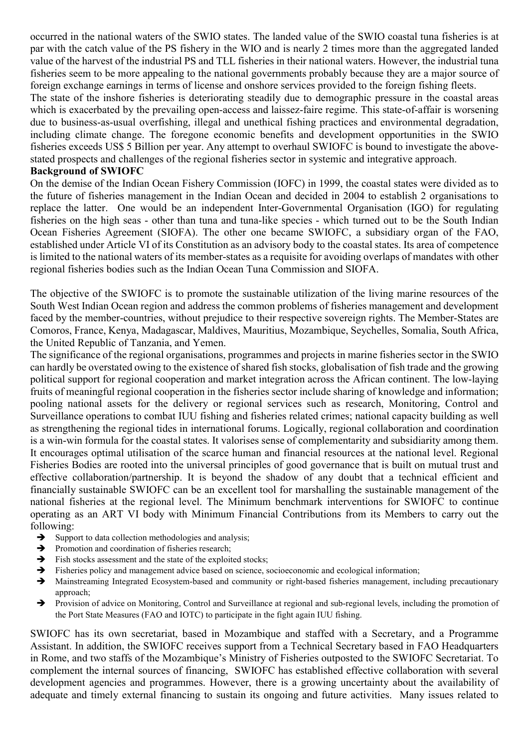occurred in the national waters of the SWIO states. The landed value of the SWIO coastal tuna fisheries is at par with the catch value of the PS fishery in the WIO and is nearly 2 times more than the aggregated landed value of the harvest of the industrial PS and TLL fisheries in their national waters. However, the industrial tuna fisheries seem to be more appealing to the national governments probably because they are a major source of foreign exchange earnings in terms of license and onshore services provided to the foreign fishing fleets.

The state of the inshore fisheries is deteriorating steadily due to demographic pressure in the coastal areas which is exacerbated by the prevailing open-access and laissez-faire regime. This state-of-affair is worsening due to business-as-usual overfishing, illegal and unethical fishing practices and environmental degradation, including climate change. The foregone economic benefits and development opportunities in the SWIO fisheries exceeds US\$ 5 Billion per year. Any attempt to overhaul SWIOFC is bound to investigate the abovestated prospects and challenges of the regional fisheries sector in systemic and integrative approach.

#### Background of SWIOFC

On the demise of the Indian Ocean Fishery Commission (IOFC) in 1999, the coastal states were divided as to the future of fisheries management in the Indian Ocean and decided in 2004 to establish 2 organisations to replace the latter. One would be an independent Inter-Governmental Organisation (IGO) for regulating fisheries on the high seas - other than tuna and tuna-like species - which turned out to be the South Indian Ocean Fisheries Agreement (SIOFA). The other one became SWIOFC, a subsidiary organ of the FAO, established under Article VI of its Constitution as an advisory body to the coastal states. Its area of competence is limited to the national waters of its member-states as a requisite for avoiding overlaps of mandates with other regional fisheries bodies such as the Indian Ocean Tuna Commission and SIOFA.

The objective of the SWIOFC is to promote the sustainable utilization of the living marine resources of the South West Indian Ocean region and address the common problems of fisheries management and development faced by the member-countries, without prejudice to their respective sovereign rights. The Member-States are Comoros, France, Kenya, Madagascar, Maldives, Mauritius, Mozambique, Seychelles, Somalia, South Africa, the United Republic of Tanzania, and Yemen.

The significance of the regional organisations, programmes and projects in marine fisheries sector in the SWIO can hardly be overstated owing to the existence of shared fish stocks, globalisation of fish trade and the growing political support for regional cooperation and market integration across the African continent. The low-laying fruits of meaningful regional cooperation in the fisheries sector include sharing of knowledge and information; pooling national assets for the delivery or regional services such as research, Monitoring, Control and Surveillance operations to combat IUU fishing and fisheries related crimes; national capacity building as well as strengthening the regional tides in international forums. Logically, regional collaboration and coordination is a win-win formula for the coastal states. It valorises sense of complementarity and subsidiarity among them. It encourages optimal utilisation of the scarce human and financial resources at the national level. Regional Fisheries Bodies are rooted into the universal principles of good governance that is built on mutual trust and effective collaboration/partnership. It is beyond the shadow of any doubt that a technical efficient and financially sustainable SWIOFC can be an excellent tool for marshalling the sustainable management of the national fisheries at the regional level. The Minimum benchmark interventions for SWIOFC to continue operating as an ART VI body with Minimum Financial Contributions from its Members to carry out the following:

- $\rightarrow$  Support to data collection methodologies and analysis;
- Promotion and coordination of fisheries research;
- $\rightarrow$  Fish stocks assessment and the state of the exploited stocks;
- $\rightarrow$  Fisheries policy and management advice based on science, socioeconomic and ecological information;
- Mainstreaming Integrated Ecosystem-based and community or right-based fisheries management, including precautionary approach;
- Provision of advice on Monitoring, Control and Surveillance at regional and sub-regional levels, including the promotion of the Port State Measures (FAO and IOTC) to participate in the fight again IUU fishing.

SWIOFC has its own secretariat, based in Mozambique and staffed with a Secretary, and a Programme Assistant. In addition, the SWIOFC receives support from a Technical Secretary based in FAO Headquarters in Rome, and two staffs of the Mozambique's Ministry of Fisheries outposted to the SWIOFC Secretariat. To complement the internal sources of financing, SWIOFC has established effective collaboration with several development agencies and programmes. However, there is a growing uncertainty about the availability of adequate and timely external financing to sustain its ongoing and future activities. Many issues related to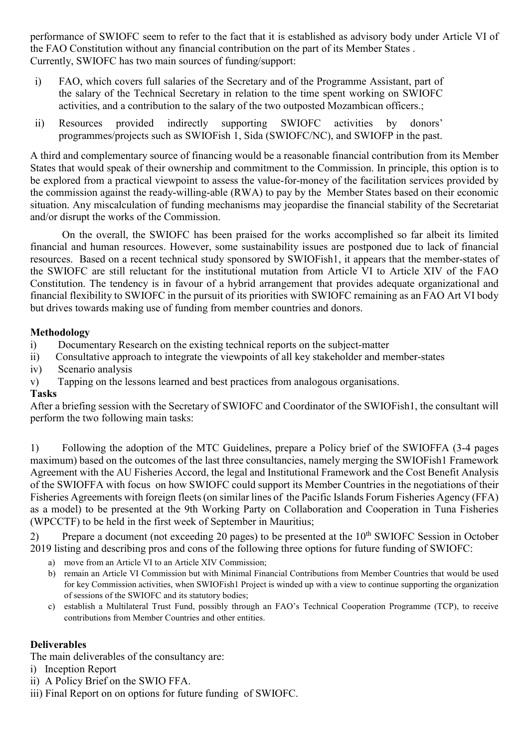performance of SWIOFC seem to refer to the fact that it is established as advisory body under Article VI of the FAO Constitution without any financial contribution on the part of its Member States . Currently, SWIOFC has two main sources of funding/support:

- i) FAO, which covers full salaries of the Secretary and of the Programme Assistant, part of the salary of the Technical Secretary in relation to the time spent working on SWIOFC activities, and a contribution to the salary of the two outposted Mozambican officers.;
- ii) Resources provided indirectly supporting SWIOFC activities by donors' programmes/projects such as SWIOFish 1, Sida (SWIOFC/NC), and SWIOFP in the past.

A third and complementary source of financing would be a reasonable financial contribution from its Member States that would speak of their ownership and commitment to the Commission. In principle, this option is to be explored from a practical viewpoint to assess the value-for-money of the facilitation services provided by the commission against the ready-willing-able (RWA) to pay by the Member States based on their economic situation. Any miscalculation of funding mechanisms may jeopardise the financial stability of the Secretariat and/or disrupt the works of the Commission.

On the overall, the SWIOFC has been praised for the works accomplished so far albeit its limited financial and human resources. However, some sustainability issues are postponed due to lack of financial resources. Based on a recent technical study sponsored by SWIOFish1, it appears that the member-states of the SWIOFC are still reluctant for the institutional mutation from Article VI to Article XIV of the FAO Constitution. The tendency is in favour of a hybrid arrangement that provides adequate organizational and financial flexibility to SWIOFC in the pursuit of its priorities with SWIOFC remaining as an FAO Art VI body but drives towards making use of funding from member countries and donors.

## Methodology

i) Documentary Research on the existing technical reports on the subject-matter

- ii) Consultative approach to integrate the viewpoints of all key stakeholder and member-states
- iv) Scenario analysis
- v) Tapping on the lessons learned and best practices from analogous organisations.

## Tasks

After a briefing session with the Secretary of SWIOFC and Coordinator of the SWIOFish1, the consultant will perform the two following main tasks:

1) Following the adoption of the MTC Guidelines, prepare a Policy brief of the SWIOFFA (3-4 pages maximum) based on the outcomes of the last three consultancies, namely merging the SWIOFish1 Framework Agreement with the AU Fisheries Accord, the legal and Institutional Framework and the Cost Benefit Analysis of the SWIOFFA with focus on how SWIOFC could support its Member Countries in the negotiations of their Fisheries Agreements with foreign fleets (on similar lines of the Pacific Islands Forum Fisheries Agency (FFA) as a model) to be presented at the 9th Working Party on Collaboration and Cooperation in Tuna Fisheries (WPCCTF) to be held in the first week of September in Mauritius;

2) Prepare a document (not exceeding 20 pages) to be presented at the 10<sup>th</sup> SWIOFC Session in October 2019 listing and describing pros and cons of the following three options for future funding of SWIOFC:

- a) move from an Article VI to an Article XIV Commission;
- b) remain an Article VI Commission but with Minimal Financial Contributions from Member Countries that would be used for key Commission activities, when SWIOFish1 Project is winded up with a view to continue supporting the organization of sessions of the SWIOFC and its statutory bodies;
- c) establish a Multilateral Trust Fund, possibly through an FAO's Technical Cooperation Programme (TCP), to receive contributions from Member Countries and other entities.

## Deliverables

The main deliverables of the consultancy are:

- i) Inception Report
- ii) A Policy Brief on the SWIO FFA.
- iii) Final Report on on options for future funding of SWIOFC.